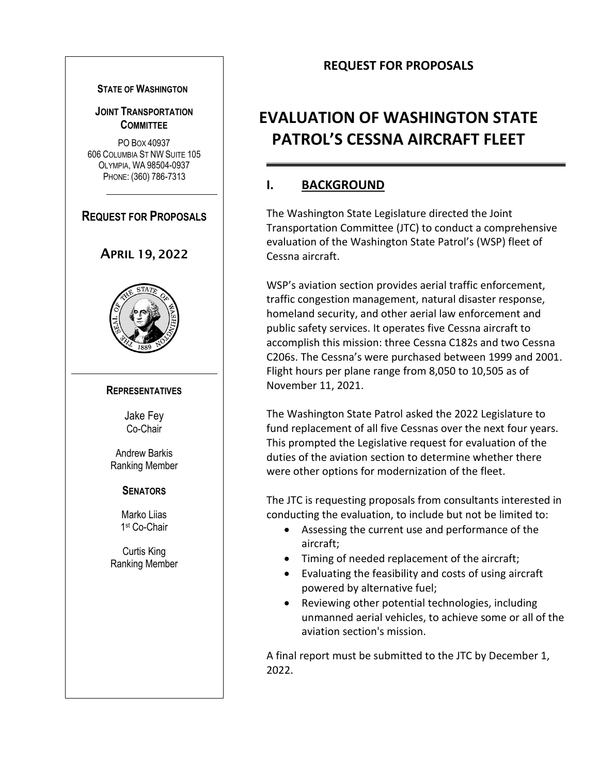# **REQUEST FOR PROPOSALS**

#### **STATE OF WASHINGTON**

#### **JOINT TRANSPORTATION COMMITTEE**

PO BOX 40937 606 COLUMBIA ST NW SUITE 105 OLYMPIA, WA 98504-0937 PHONE: (360) 786-7313

# **REQUEST FOR PROPOSALS**

#### APRIL 19, 2022



#### **REPRESENTATIVES**

Jake Fey Co-Chair

Andrew Barkis Ranking Member

#### **SENATORS**

Marko Liias 1 st Co-Chair

Curtis King Ranking Member

# **EVALUATION OF WASHINGTON STATE PATROL'S CESSNA AIRCRAFT FLEET**

# **I. BACKGROUND**

The Washington State Legislature directed the Joint Transportation Committee (JTC) to conduct a comprehensive evaluation of the Washington State Patrol's (WSP) fleet of Cessna aircraft.

WSP's aviation section provides aerial traffic enforcement, traffic congestion management, natural disaster response, homeland security, and other aerial law enforcement and public safety services. It operates five Cessna aircraft to accomplish this mission: three Cessna C182s and two Cessna C206s. The Cessna's were purchased between 1999 and 2001. Flight hours per plane range from 8,050 to 10,505 as of November 11, 2021.

The Washington State Patrol asked the 2022 Legislature to fund replacement of all five Cessnas over the next four years. This prompted the Legislative request for evaluation of the duties of the aviation section to determine whether there were other options for modernization of the fleet.

The JTC is requesting proposals from consultants interested in conducting the evaluation, to include but not be limited to:

- Assessing the current use and performance of the aircraft;
- Timing of needed replacement of the aircraft;
- Evaluating the feasibility and costs of using aircraft powered by alternative fuel;
- Reviewing other potential technologies, including unmanned aerial vehicles, to achieve some or all of the aviation section's mission.

A final report must be submitted to the JTC by December 1, 2022.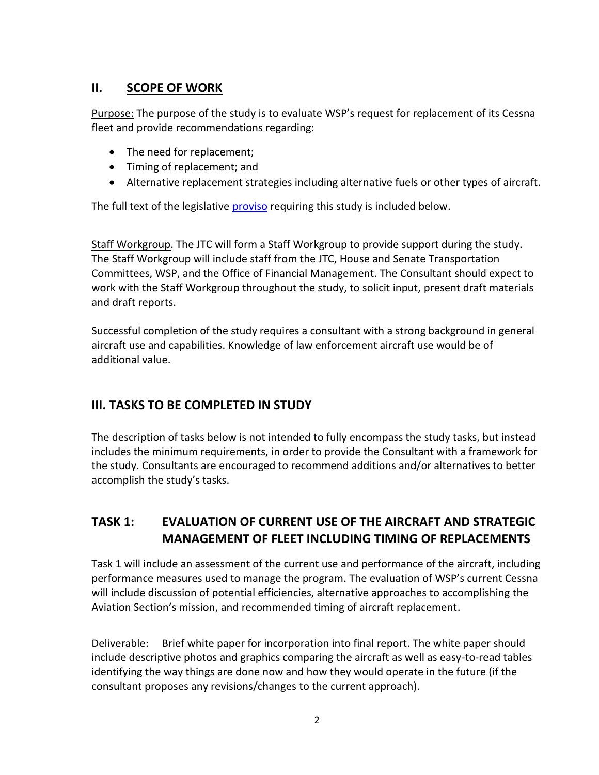# **II. SCOPE OF WORK**

Purpose: The purpose of the study is to evaluate WSP's request for replacement of its Cessna fleet and provide recommendations regarding:

- The need for replacement;
- Timing of replacement; and
- Alternative replacement strategies including alternative fuels or other types of aircraft.

The full text of the legislative [proviso](#page-5-0) requiring this study is included below.

Staff Workgroup. The JTC will form a Staff Workgroup to provide support during the study. The Staff Workgroup will include staff from the JTC, House and Senate Transportation Committees, WSP, and the Office of Financial Management. The Consultant should expect to work with the Staff Workgroup throughout the study, to solicit input, present draft materials and draft reports.

Successful completion of the study requires a consultant with a strong background in general aircraft use and capabilities. Knowledge of law enforcement aircraft use would be of additional value.

# **III. TASKS TO BE COMPLETED IN STUDY**

The description of tasks below is not intended to fully encompass the study tasks, but instead includes the minimum requirements, in order to provide the Consultant with a framework for the study. Consultants are encouraged to recommend additions and/or alternatives to better accomplish the study's tasks.

# **TASK 1: EVALUATION OF CURRENT USE OF THE AIRCRAFT AND STRATEGIC MANAGEMENT OF FLEET INCLUDING TIMING OF REPLACEMENTS**

Task 1 will include an assessment of the current use and performance of the aircraft, including performance measures used to manage the program. The evaluation of WSP's current Cessna will include discussion of potential efficiencies, alternative approaches to accomplishing the Aviation Section's mission, and recommended timing of aircraft replacement.

Deliverable: Brief white paper for incorporation into final report. The white paper should include descriptive photos and graphics comparing the aircraft as well as easy-to-read tables identifying the way things are done now and how they would operate in the future (if the consultant proposes any revisions/changes to the current approach).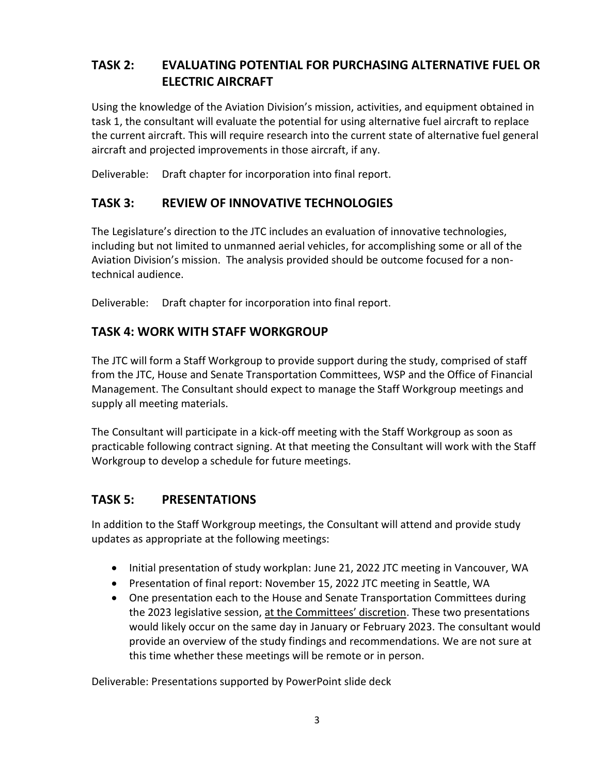# **TASK 2: EVALUATING POTENTIAL FOR PURCHASING ALTERNATIVE FUEL OR ELECTRIC AIRCRAFT**

Using the knowledge of the Aviation Division's mission, activities, and equipment obtained in task 1, the consultant will evaluate the potential for using alternative fuel aircraft to replace the current aircraft. This will require research into the current state of alternative fuel general aircraft and projected improvements in those aircraft, if any.

Deliverable: Draft chapter for incorporation into final report.

### **TASK 3: REVIEW OF INNOVATIVE TECHNOLOGIES**

The Legislature's direction to the JTC includes an evaluation of innovative technologies, including but not limited to unmanned aerial vehicles, for accomplishing some or all of the Aviation Division's mission. The analysis provided should be outcome focused for a nontechnical audience.

Deliverable: Draft chapter for incorporation into final report.

### **TASK 4: WORK WITH STAFF WORKGROUP**

The JTC will form a Staff Workgroup to provide support during the study, comprised of staff from the JTC, House and Senate Transportation Committees, WSP and the Office of Financial Management. The Consultant should expect to manage the Staff Workgroup meetings and supply all meeting materials.

The Consultant will participate in a kick-off meeting with the Staff Workgroup as soon as practicable following contract signing. At that meeting the Consultant will work with the Staff Workgroup to develop a schedule for future meetings.

# **TASK 5: PRESENTATIONS**

In addition to the Staff Workgroup meetings, the Consultant will attend and provide study updates as appropriate at the following meetings:

- Initial presentation of study workplan: June 21, 2022 JTC meeting in Vancouver, WA
- Presentation of final report: November 15, 2022 JTC meeting in Seattle, WA
- One presentation each to the House and Senate Transportation Committees during the 2023 legislative session, at the Committees' discretion. These two presentations would likely occur on the same day in January or February 2023. The consultant would provide an overview of the study findings and recommendations. We are not sure at this time whether these meetings will be remote or in person.

Deliverable: Presentations supported by PowerPoint slide deck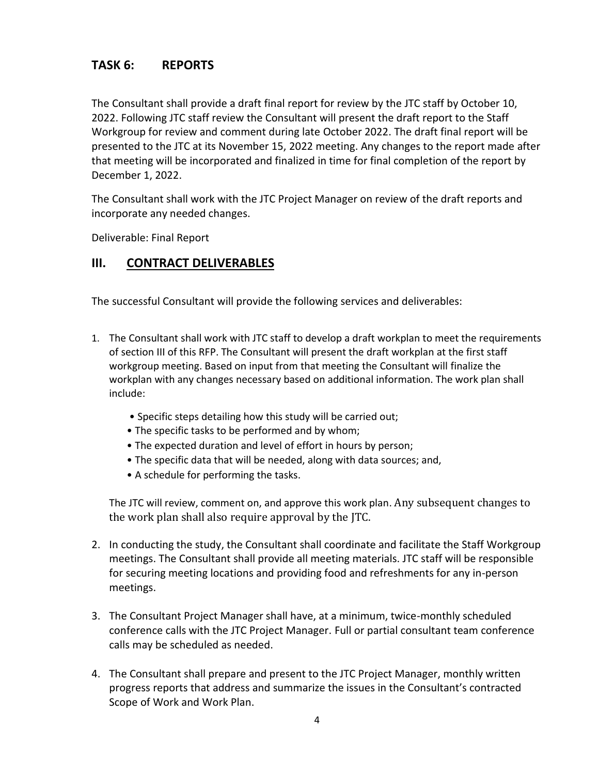# **TASK 6: REPORTS**

The Consultant shall provide a draft final report for review by the JTC staff by October 10, 2022. Following JTC staff review the Consultant will present the draft report to the Staff Workgroup for review and comment during late October 2022. The draft final report will be presented to the JTC at its November 15, 2022 meeting. Any changes to the report made after that meeting will be incorporated and finalized in time for final completion of the report by December 1, 2022.

The Consultant shall work with the JTC Project Manager on review of the draft reports and incorporate any needed changes.

Deliverable: Final Report

#### **III. CONTRACT DELIVERABLES**

The successful Consultant will provide the following services and deliverables:

- 1. The Consultant shall work with JTC staff to develop a draft workplan to meet the requirements of section III of this RFP. The Consultant will present the draft workplan at the first staff workgroup meeting. Based on input from that meeting the Consultant will finalize the workplan with any changes necessary based on additional information. The work plan shall include:
	- Specific steps detailing how this study will be carried out;
	- The specific tasks to be performed and by whom;
	- The expected duration and level of effort in hours by person;
	- The specific data that will be needed, along with data sources; and,
	- A schedule for performing the tasks.

The JTC will review, comment on, and approve this work plan. Any subsequent changes to the work plan shall also require approval by the JTC.

- 2. In conducting the study, the Consultant shall coordinate and facilitate the Staff Workgroup meetings. The Consultant shall provide all meeting materials. JTC staff will be responsible for securing meeting locations and providing food and refreshments for any in-person meetings.
- 3. The Consultant Project Manager shall have, at a minimum, twice-monthly scheduled conference calls with the JTC Project Manager. Full or partial consultant team conference calls may be scheduled as needed.
- 4. The Consultant shall prepare and present to the JTC Project Manager, monthly written progress reports that address and summarize the issues in the Consultant's contracted Scope of Work and Work Plan.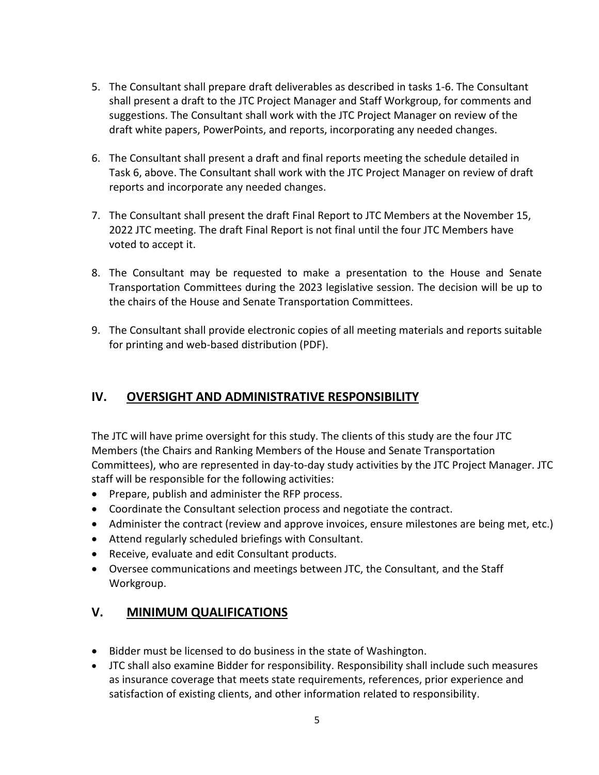- 5. The Consultant shall prepare draft deliverables as described in tasks 1-6. The Consultant shall present a draft to the JTC Project Manager and Staff Workgroup, for comments and suggestions. The Consultant shall work with the JTC Project Manager on review of the draft white papers, PowerPoints, and reports, incorporating any needed changes.
- 6. The Consultant shall present a draft and final reports meeting the schedule detailed in Task 6, above. The Consultant shall work with the JTC Project Manager on review of draft reports and incorporate any needed changes.
- 7. The Consultant shall present the draft Final Report to JTC Members at the November 15, 2022 JTC meeting. The draft Final Report is not final until the four JTC Members have voted to accept it.
- 8. The Consultant may be requested to make a presentation to the House and Senate Transportation Committees during the 2023 legislative session. The decision will be up to the chairs of the House and Senate Transportation Committees.
- 9. The Consultant shall provide electronic copies of all meeting materials and reports suitable for printing and web-based distribution (PDF).

# **IV. OVERSIGHT AND ADMINISTRATIVE RESPONSIBILITY**

The JTC will have prime oversight for this study. The clients of this study are the four JTC Members (the Chairs and Ranking Members of the House and Senate Transportation Committees), who are represented in day-to-day study activities by the JTC Project Manager. JTC staff will be responsible for the following activities:

- Prepare, publish and administer the RFP process.
- Coordinate the Consultant selection process and negotiate the contract.
- Administer the contract (review and approve invoices, ensure milestones are being met, etc.)
- Attend regularly scheduled briefings with Consultant.
- Receive, evaluate and edit Consultant products.
- Oversee communications and meetings between JTC, the Consultant, and the Staff Workgroup.

# **V. MINIMUM QUALIFICATIONS**

- Bidder must be licensed to do business in the state of Washington.
- JTC shall also examine Bidder for responsibility. Responsibility shall include such measures as insurance coverage that meets state requirements, references, prior experience and satisfaction of existing clients, and other information related to responsibility.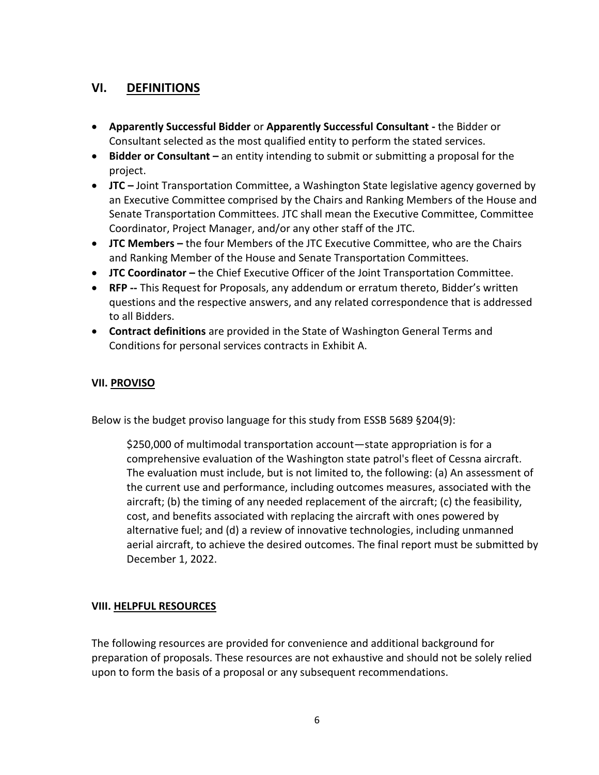### **VI. DEFINITIONS**

- **Apparently Successful Bidder** or **Apparently Successful Consultant -** the Bidder or Consultant selected as the most qualified entity to perform the stated services.
- **Bidder or Consultant –** an entity intending to submit or submitting a proposal for the project.
- **JTC –** Joint Transportation Committee, a Washington State legislative agency governed by an Executive Committee comprised by the Chairs and Ranking Members of the House and Senate Transportation Committees. JTC shall mean the Executive Committee, Committee Coordinator, Project Manager, and/or any other staff of the JTC.
- **JTC Members –** the four Members of the JTC Executive Committee, who are the Chairs and Ranking Member of the House and Senate Transportation Committees.
- **JTC Coordinator** the Chief Executive Officer of the Joint Transportation Committee.
- **RFP --** This Request for Proposals, any addendum or erratum thereto, Bidder's written questions and the respective answers, and any related correspondence that is addressed to all Bidders.
- **Contract definitions** are provided in the State of Washington General Terms and Conditions for personal services contracts in Exhibit A.

#### <span id="page-5-0"></span>**VII. PROVISO**

Below is the budget proviso language for this study from ESSB 5689 §204(9):

\$250,000 of multimodal transportation account—state appropriation is for a comprehensive evaluation of the Washington state patrol's fleet of Cessna aircraft. The evaluation must include, but is not limited to, the following: (a) An assessment of the current use and performance, including outcomes measures, associated with the aircraft; (b) the timing of any needed replacement of the aircraft; (c) the feasibility, cost, and benefits associated with replacing the aircraft with ones powered by alternative fuel; and (d) a review of innovative technologies, including unmanned aerial aircraft, to achieve the desired outcomes. The final report must be submitted by December 1, 2022.

#### **VIII. HELPFUL RESOURCES**

The following resources are provided for convenience and additional background for preparation of proposals. These resources are not exhaustive and should not be solely relied upon to form the basis of a proposal or any subsequent recommendations.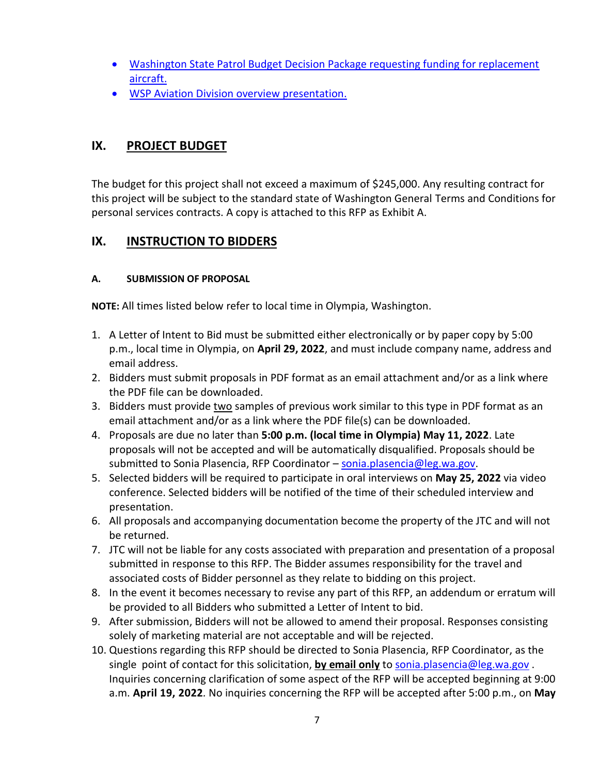- [Washington State Patrol Budget Decision Package requesting funding for replacement](http://leg.wa.gov/JTC/Documents/RFPs/WSPCessnaReplacement.pdf)  [aircraft.](http://leg.wa.gov/JTC/Documents/RFPs/WSPCessnaReplacement.pdf)
- [WSP Aviation Division overview presentation.](http://leg.wa.gov/JTC/Documents/RFPs/WSPPPTAviation.pdf)

### **IX. PROJECT BUDGET**

The budget for this project shall not exceed a maximum of \$245,000. Any resulting contract for this project will be subject to the standard state of Washington General Terms and Conditions for personal services contracts. A copy is attached to this RFP as Exhibit A.

# **IX. INSTRUCTION TO BIDDERS**

#### **A. SUBMISSION OF PROPOSAL**

**NOTE:** All times listed below refer to local time in Olympia, Washington.

- 1. A Letter of Intent to Bid must be submitted either electronically or by paper copy by 5:00 p.m., local time in Olympia, on **April 29, 2022**, and must include company name, address and email address.
- 2. Bidders must submit proposals in PDF format as an email attachment and/or as a link where the PDF file can be downloaded.
- 3. Bidders must provide two samples of previous work similar to this type in PDF format as an email attachment and/or as a link where the PDF file(s) can be downloaded.
- 4. Proposals are due no later than **5:00 p.m. (local time in Olympia) May 11, 2022**. Late proposals will not be accepted and will be automatically disqualified. Proposals should be submitted to Sonia Plasencia, RFP Coordinator – [sonia.plasencia@leg.wa.gov.](mailto:sonia.plasencia@leg.wa.gov)
- 5. Selected bidders will be required to participate in oral interviews on **May 25, 2022** via video conference. Selected bidders will be notified of the time of their scheduled interview and presentation.
- 6. All proposals and accompanying documentation become the property of the JTC and will not be returned.
- 7. JTC will not be liable for any costs associated with preparation and presentation of a proposal submitted in response to this RFP. The Bidder assumes responsibility for the travel and associated costs of Bidder personnel as they relate to bidding on this project.
- 8. In the event it becomes necessary to revise any part of this RFP, an addendum or erratum will be provided to all Bidders who submitted a Letter of Intent to bid.
- 9. After submission, Bidders will not be allowed to amend their proposal. Responses consisting solely of marketing material are not acceptable and will be rejected.
- 10. Questions regarding this RFP should be directed to Sonia Plasencia, RFP Coordinator, as the single point of contact for this solicitation, **by email only** to [sonia.plasencia@leg.wa.gov](mailto:sonia.plasencia@leg.wa.gov) . Inquiries concerning clarification of some aspect of the RFP will be accepted beginning at 9:00 a.m. **April 19, 2022***.* No inquiries concerning the RFP will be accepted after 5:00 p.m., on **May**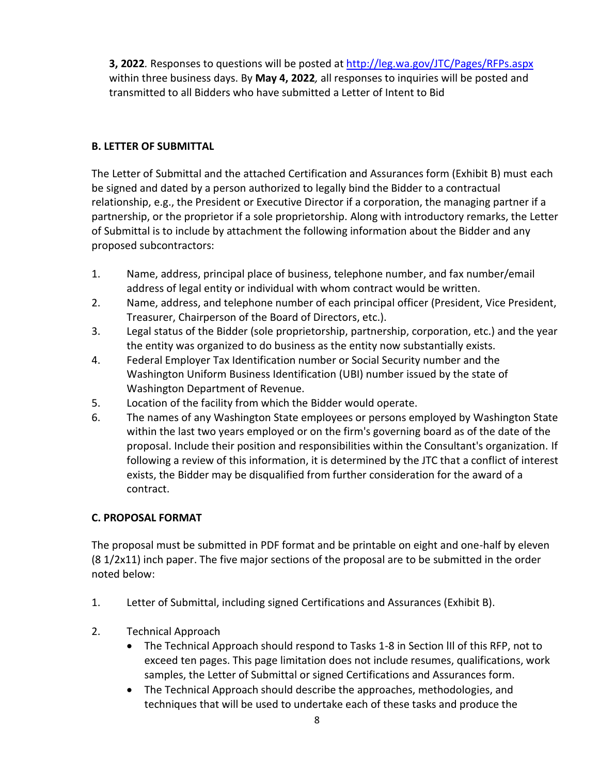**3, 2022***.* Responses to questions will be posted at <http://leg.wa.gov/JTC/Pages/RFPs.aspx> within three business days. By **May 4, 2022***,* all responses to inquiries will be posted and transmitted to all Bidders who have submitted a Letter of Intent to Bid

#### **B. LETTER OF SUBMITTAL**

The Letter of Submittal and the attached Certification and Assurances form (Exhibit B) must each be signed and dated by a person authorized to legally bind the Bidder to a contractual relationship, e.g., the President or Executive Director if a corporation, the managing partner if a partnership, or the proprietor if a sole proprietorship. Along with introductory remarks, the Letter of Submittal is to include by attachment the following information about the Bidder and any proposed subcontractors:

- 1. Name, address, principal place of business, telephone number, and fax number/email address of legal entity or individual with whom contract would be written.
- 2. Name, address, and telephone number of each principal officer (President, Vice President, Treasurer, Chairperson of the Board of Directors, etc.).
- 3. Legal status of the Bidder (sole proprietorship, partnership, corporation, etc.) and the year the entity was organized to do business as the entity now substantially exists.
- 4. Federal Employer Tax Identification number or Social Security number and the Washington Uniform Business Identification (UBI) number issued by the state of Washington Department of Revenue.
- 5. Location of the facility from which the Bidder would operate.
- 6. The names of any Washington State employees or persons employed by Washington State within the last two years employed or on the firm's governing board as of the date of the proposal. Include their position and responsibilities within the Consultant's organization. If following a review of this information, it is determined by the JTC that a conflict of interest exists, the Bidder may be disqualified from further consideration for the award of a contract.

### **C. PROPOSAL FORMAT**

The proposal must be submitted in PDF format and be printable on eight and one-half by eleven (8 1/2x11) inch paper. The five major sections of the proposal are to be submitted in the order noted below:

- 1. Letter of Submittal, including signed Certifications and Assurances (Exhibit B).
- 2. Technical Approach
	- The Technical Approach should respond to Tasks 1-8 in Section III of this RFP, not to exceed ten pages. This page limitation does not include resumes, qualifications, work samples, the Letter of Submittal or signed Certifications and Assurances form.
	- The Technical Approach should describe the approaches, methodologies, and techniques that will be used to undertake each of these tasks and produce the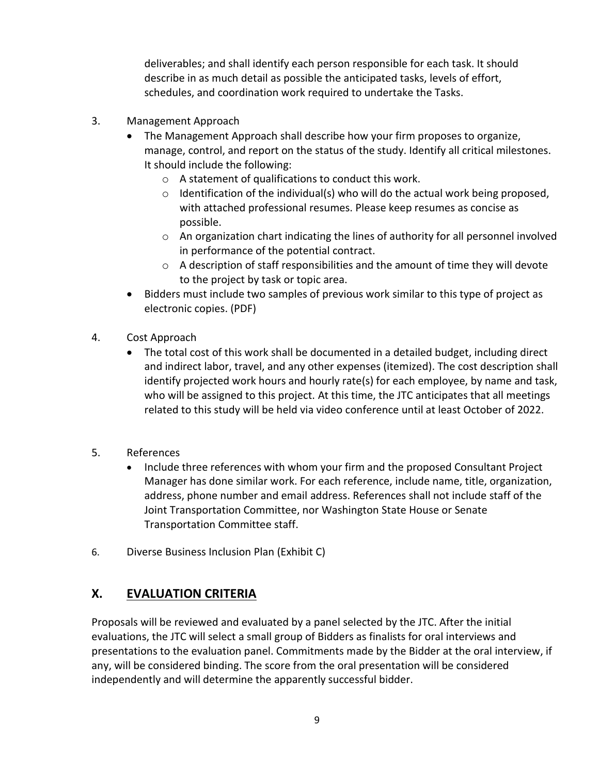deliverables; and shall identify each person responsible for each task. It should describe in as much detail as possible the anticipated tasks, levels of effort, schedules, and coordination work required to undertake the Tasks.

- 3. Management Approach
	- The Management Approach shall describe how your firm proposes to organize, manage, control, and report on the status of the study. Identify all critical milestones. It should include the following:
		- o A statement of qualifications to conduct this work.
		- $\circ$  Identification of the individual(s) who will do the actual work being proposed, with attached professional resumes. Please keep resumes as concise as possible.
		- o An organization chart indicating the lines of authority for all personnel involved in performance of the potential contract.
		- o A description of staff responsibilities and the amount of time they will devote to the project by task or topic area.
	- Bidders must include two samples of previous work similar to this type of project as electronic copies. (PDF)
- 4. Cost Approach
	- The total cost of this work shall be documented in a detailed budget, including direct and indirect labor, travel, and any other expenses (itemized). The cost description shall identify projected work hours and hourly rate(s) for each employee, by name and task, who will be assigned to this project. At this time, the JTC anticipates that all meetings related to this study will be held via video conference until at least October of 2022.
- 5. References
	- Include three references with whom your firm and the proposed Consultant Project Manager has done similar work. For each reference, include name, title, organization, address, phone number and email address. References shall not include staff of the Joint Transportation Committee, nor Washington State House or Senate Transportation Committee staff.
- 6. Diverse Business Inclusion Plan (Exhibit C)

# **X. EVALUATION CRITERIA**

Proposals will be reviewed and evaluated by a panel selected by the JTC. After the initial evaluations, the JTC will select a small group of Bidders as finalists for oral interviews and presentations to the evaluation panel. Commitments made by the Bidder at the oral interview, if any, will be considered binding. The score from the oral presentation will be considered independently and will determine the apparently successful bidder.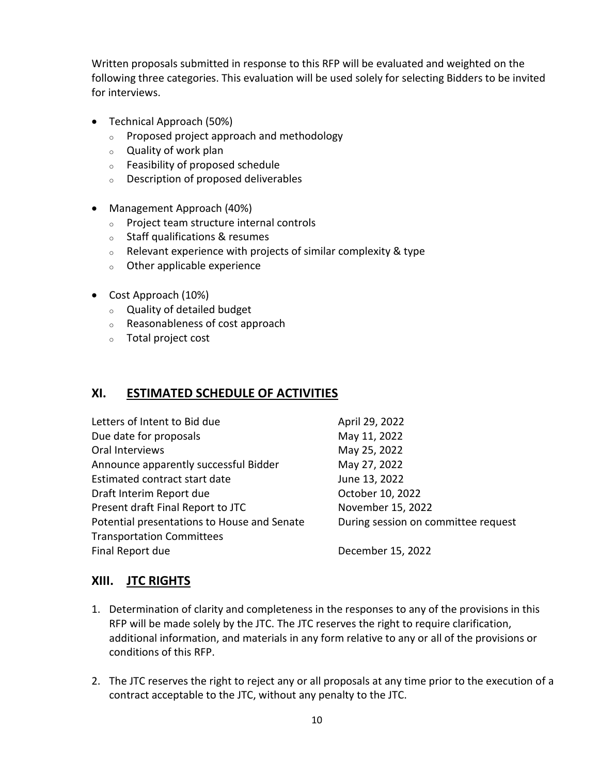Written proposals submitted in response to this RFP will be evaluated and weighted on the following three categories. This evaluation will be used solely for selecting Bidders to be invited for interviews.

- Technical Approach (50%)
	- <sup>o</sup> Proposed project approach and methodology
	- <sup>o</sup> Quality of work plan
	- <sup>o</sup> Feasibility of proposed schedule
	- <sup>o</sup> Description of proposed deliverables
- Management Approach (40%)
	- <sup>o</sup> Project team structure internal controls
	- <sup>o</sup> Staff qualifications & resumes
	- $\circ$  Relevant experience with projects of similar complexity & type
	- <sup>o</sup> Other applicable experience
- Cost Approach (10%)
	- <sup>o</sup> Quality of detailed budget
	- <sup>o</sup> Reasonableness of cost approach
	- <sup>o</sup> Total project cost

### **XI. ESTIMATED SCHEDULE OF ACTIVITIES**

| Letters of Intent to Bid due                | April 29, 2022                      |
|---------------------------------------------|-------------------------------------|
| Due date for proposals                      | May 11, 2022                        |
| Oral Interviews                             | May 25, 2022                        |
| Announce apparently successful Bidder       | May 27, 2022                        |
| Estimated contract start date               | June 13, 2022                       |
| Draft Interim Report due                    | October 10, 2022                    |
| Present draft Final Report to JTC           | November 15, 2022                   |
| Potential presentations to House and Senate | During session on committee request |
| <b>Transportation Committees</b>            |                                     |
| Final Report due                            | December 15, 2022                   |

### **XIII. JTC RIGHTS**

- 1. Determination of clarity and completeness in the responses to any of the provisions in this RFP will be made solely by the JTC. The JTC reserves the right to require clarification, additional information, and materials in any form relative to any or all of the provisions or conditions of this RFP.
- 2. The JTC reserves the right to reject any or all proposals at any time prior to the execution of a contract acceptable to the JTC, without any penalty to the JTC.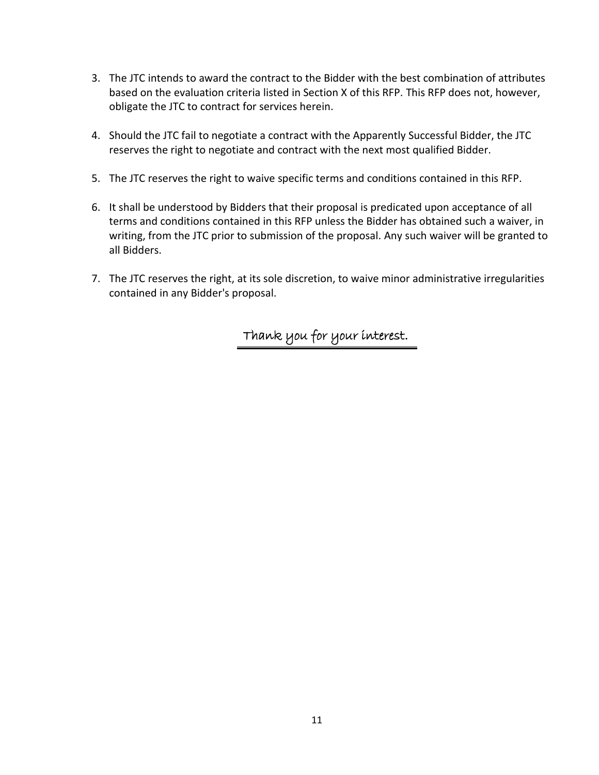- 3. The JTC intends to award the contract to the Bidder with the best combination of attributes based on the evaluation criteria listed in Section X of this RFP. This RFP does not, however, obligate the JTC to contract for services herein.
- 4. Should the JTC fail to negotiate a contract with the Apparently Successful Bidder, the JTC reserves the right to negotiate and contract with the next most qualified Bidder.
- 5. The JTC reserves the right to waive specific terms and conditions contained in this RFP.
- 6. It shall be understood by Bidders that their proposal is predicated upon acceptance of all terms and conditions contained in this RFP unless the Bidder has obtained such a waiver, in writing, from the JTC prior to submission of the proposal. Any such waiver will be granted to all Bidders.
- 7. The JTC reserves the right, at its sole discretion, to waive minor administrative irregularities contained in any Bidder's proposal.

Thank you for your interest.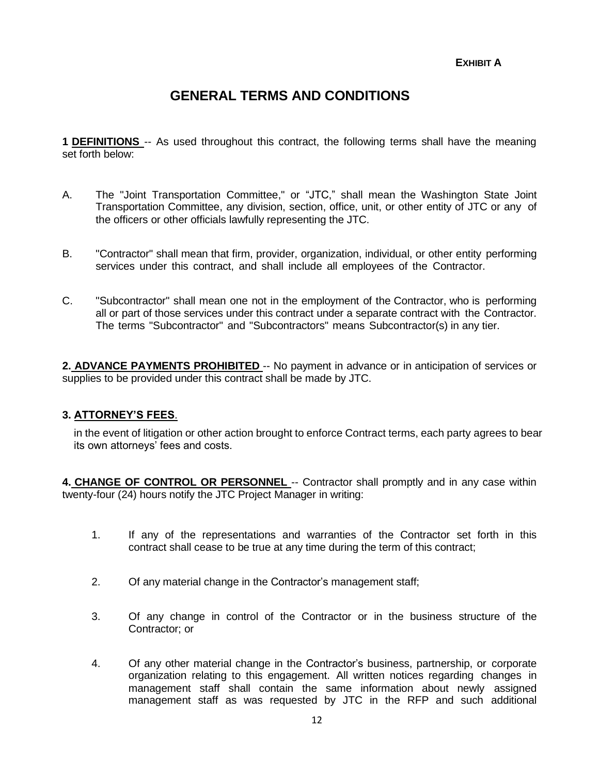**EXHIBIT A**

# **GENERAL TERMS AND CONDITIONS**

**1 DEFINITIONS** -- As used throughout this contract, the following terms shall have the meaning set forth below:

- A. The "Joint Transportation Committee," or "JTC," shall mean the Washington State Joint Transportation Committee, any division, section, office, unit, or other entity of JTC or any of the officers or other officials lawfully representing the JTC.
- B. "Contractor" shall mean that firm, provider, organization, individual, or other entity performing services under this contract, and shall include all employees of the Contractor.
- C. "Subcontractor" shall mean one not in the employment of the Contractor, who is performing all or part of those services under this contract under a separate contract with the Contractor. The terms "Subcontractor" and "Subcontractors" means Subcontractor(s) in any tier.

**2. ADVANCE PAYMENTS PROHIBITED** -- No payment in advance or in anticipation of services or supplies to be provided under this contract shall be made by JTC.

#### **3. ATTORNEY'S FEES**.

in the event of litigation or other action brought to enforce Contract terms, each party agrees to bear its own attorneys' fees and costs.

**4. CHANGE OF CONTROL OR PERSONNEL** -- Contractor shall promptly and in any case within twenty-four (24) hours notify the JTC Project Manager in writing:

- 1. If any of the representations and warranties of the Contractor set forth in this contract shall cease to be true at any time during the term of this contract;
- 2. Of any material change in the Contractor's management staff;
- 3. Of any change in control of the Contractor or in the business structure of the Contractor; or
- 4. Of any other material change in the Contractor's business, partnership, or corporate organization relating to this engagement. All written notices regarding changes in management staff shall contain the same information about newly assigned management staff as was requested by JTC in the RFP and such additional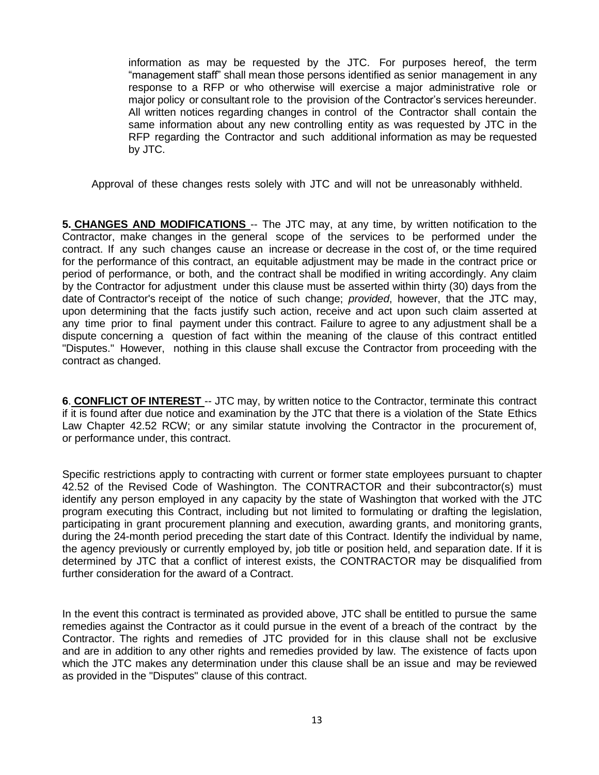information as may be requested by the JTC. For purposes hereof, the term "management staff" shall mean those persons identified as senior management in any response to a RFP or who otherwise will exercise a major administrative role or major policy or consultant role to the provision of the Contractor's services hereunder. All written notices regarding changes in control of the Contractor shall contain the same information about any new controlling entity as was requested by JTC in the RFP regarding the Contractor and such additional information as may be requested by JTC.

Approval of these changes rests solely with JTC and will not be unreasonably withheld.

**5. CHANGES AND MODIFICATIONS** -- The JTC may, at any time, by written notification to the Contractor, make changes in the general scope of the services to be performed under the contract. If any such changes cause an increase or decrease in the cost of, or the time required for the performance of this contract, an equitable adjustment may be made in the contract price or period of performance, or both, and the contract shall be modified in writing accordingly. Any claim by the Contractor for adjustment under this clause must be asserted within thirty (30) days from the date of Contractor's receipt of the notice of such change; *provided*, however, that the JTC may, upon determining that the facts justify such action, receive and act upon such claim asserted at any time prior to final payment under this contract. Failure to agree to any adjustment shall be a dispute concerning a question of fact within the meaning of the clause of this contract entitled "Disputes." However, nothing in this clause shall excuse the Contractor from proceeding with the contract as changed.

**6**. **CONFLICT OF INTEREST** -- JTC may, by written notice to the Contractor, terminate this contract if it is found after due notice and examination by the JTC that there is a violation of the State Ethics Law Chapter 42.52 RCW; or any similar statute involving the Contractor in the procurement of, or performance under, this contract.

Specific restrictions apply to contracting with current or former state employees pursuant to chapter 42.52 of the Revised Code of Washington. The CONTRACTOR and their subcontractor(s) must identify any person employed in any capacity by the state of Washington that worked with the JTC program executing this Contract, including but not limited to formulating or drafting the legislation, participating in grant procurement planning and execution, awarding grants, and monitoring grants, during the 24-month period preceding the start date of this Contract. Identify the individual by name, the agency previously or currently employed by, job title or position held, and separation date. If it is determined by JTC that a conflict of interest exists, the CONTRACTOR may be disqualified from further consideration for the award of a Contract.

In the event this contract is terminated as provided above, JTC shall be entitled to pursue the same remedies against the Contractor as it could pursue in the event of a breach of the contract by the Contractor. The rights and remedies of JTC provided for in this clause shall not be exclusive and are in addition to any other rights and remedies provided by law. The existence of facts upon which the JTC makes any determination under this clause shall be an issue and may be reviewed as provided in the "Disputes" clause of this contract.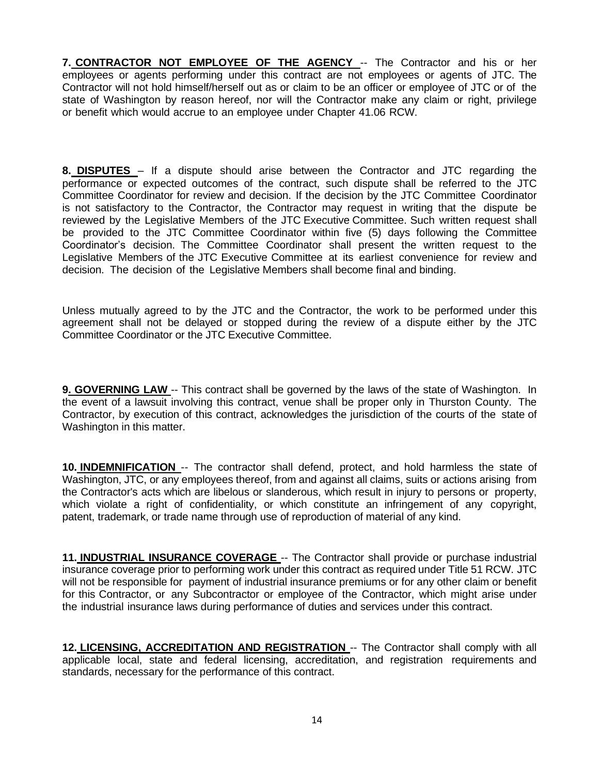**7. CONTRACTOR NOT EMPLOYEE OF THE AGENCY** -- The Contractor and his or her employees or agents performing under this contract are not employees or agents of JTC. The Contractor will not hold himself/herself out as or claim to be an officer or employee of JTC or of the state of Washington by reason hereof, nor will the Contractor make any claim or right, privilege or benefit which would accrue to an employee under Chapter 41.06 RCW.

**8. DISPUTES** – If a dispute should arise between the Contractor and JTC regarding the performance or expected outcomes of the contract, such dispute shall be referred to the JTC Committee Coordinator for review and decision. If the decision by the JTC Committee Coordinator is not satisfactory to the Contractor, the Contractor may request in writing that the dispute be reviewed by the Legislative Members of the JTC Executive Committee. Such written request shall be provided to the JTC Committee Coordinator within five (5) days following the Committee Coordinator's decision. The Committee Coordinator shall present the written request to the Legislative Members of the JTC Executive Committee at its earliest convenience for review and decision. The decision of the Legislative Members shall become final and binding.

Unless mutually agreed to by the JTC and the Contractor, the work to be performed under this agreement shall not be delayed or stopped during the review of a dispute either by the JTC Committee Coordinator or the JTC Executive Committee.

**9. GOVERNING LAW** -- This contract shall be governed by the laws of the state of Washington. In the event of a lawsuit involving this contract, venue shall be proper only in Thurston County. The Contractor, by execution of this contract, acknowledges the jurisdiction of the courts of the state of Washington in this matter.

**10. INDEMNIFICATION** -- The contractor shall defend, protect, and hold harmless the state of Washington, JTC, or any employees thereof, from and against all claims, suits or actions arising from the Contractor's acts which are libelous or slanderous, which result in injury to persons or property, which violate a right of confidentiality, or which constitute an infringement of any copyright, patent, trademark, or trade name through use of reproduction of material of any kind.

**11. INDUSTRIAL INSURANCE COVERAGE** -- The Contractor shall provide or purchase industrial insurance coverage prior to performing work under this contract as required under Title 51 RCW. JTC will not be responsible for payment of industrial insurance premiums or for any other claim or benefit for this Contractor, or any Subcontractor or employee of the Contractor, which might arise under the industrial insurance laws during performance of duties and services under this contract.

**12. LICENSING, ACCREDITATION AND REGISTRATION** -- The Contractor shall comply with all applicable local, state and federal licensing, accreditation, and registration requirements and standards, necessary for the performance of this contract.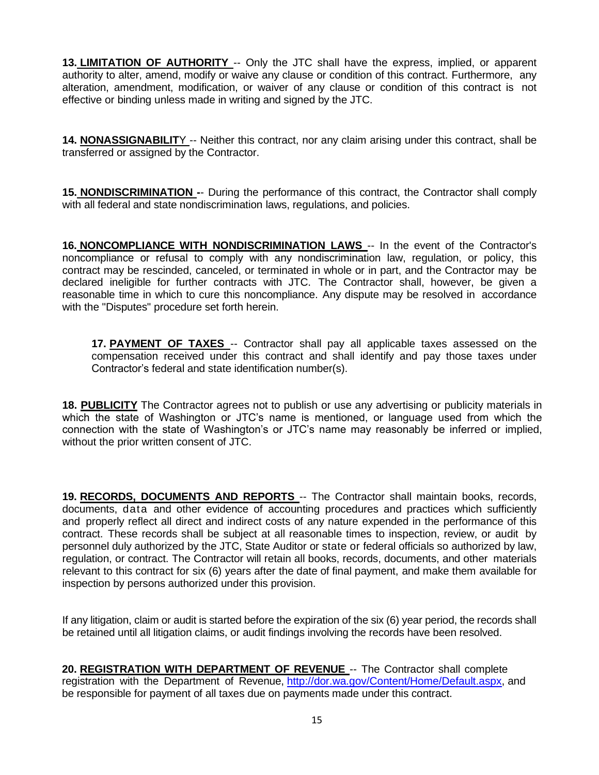**13. LIMITATION OF AUTHORITY** -- Only the JTC shall have the express, implied, or apparent authority to alter, amend, modify or waive any clause or condition of this contract. Furthermore, any alteration, amendment, modification, or waiver of any clause or condition of this contract is not effective or binding unless made in writing and signed by the JTC.

**14. NONASSIGNABILIT**Y -- Neither this contract, nor any claim arising under this contract, shall be transferred or assigned by the Contractor.

**15. NONDISCRIMINATION -**- During the performance of this contract, the Contractor shall comply with all federal and state nondiscrimination laws, regulations, and policies.

**16. NONCOMPLIANCE WITH NONDISCRIMINATION LAWS** -- In the event of the Contractor's noncompliance or refusal to comply with any nondiscrimination law, regulation, or policy, this contract may be rescinded, canceled, or terminated in whole or in part, and the Contractor may be declared ineligible for further contracts with JTC. The Contractor shall, however, be given a reasonable time in which to cure this noncompliance. Any dispute may be resolved in accordance with the "Disputes" procedure set forth herein.

**17. PAYMENT OF TAXES** -- Contractor shall pay all applicable taxes assessed on the compensation received under this contract and shall identify and pay those taxes under Contractor's federal and state identification number(s).

**18. PUBLICITY** The Contractor agrees not to publish or use any advertising or publicity materials in which the state of Washington or JTC's name is mentioned, or language used from which the connection with the state of Washington's or JTC's name may reasonably be inferred or implied, without the prior written consent of JTC.

**19. RECORDS, DOCUMENTS AND REPORTS** -- The Contractor shall maintain books, records, documents, data and other evidence of accounting procedures and practices which sufficiently and properly reflect all direct and indirect costs of any nature expended in the performance of this contract. These records shall be subject at all reasonable times to inspection, review, or audit by personnel duly authorized by the JTC, State Auditor or state or federal officials so authorized by law, regulation, or contract. The Contractor will retain all books, records, documents, and other materials relevant to this contract for six (6) years after the date of final payment, and make them available for inspection by persons authorized under this provision.

If any litigation, claim or audit is started before the expiration of the six (6) year period, the records shall be retained until all litigation claims, or audit findings involving the records have been resolved.

**20. REGISTRATION WITH DEPARTMENT OF REVENUE** -- The Contractor shall complete registration with the Department of Revenue, [http://dor.wa.gov/Content/Home/Default.aspx,](http://dor.wa.gov/Content/Home/Default.aspx) and be responsible for payment of all taxes due on payments made under this contract.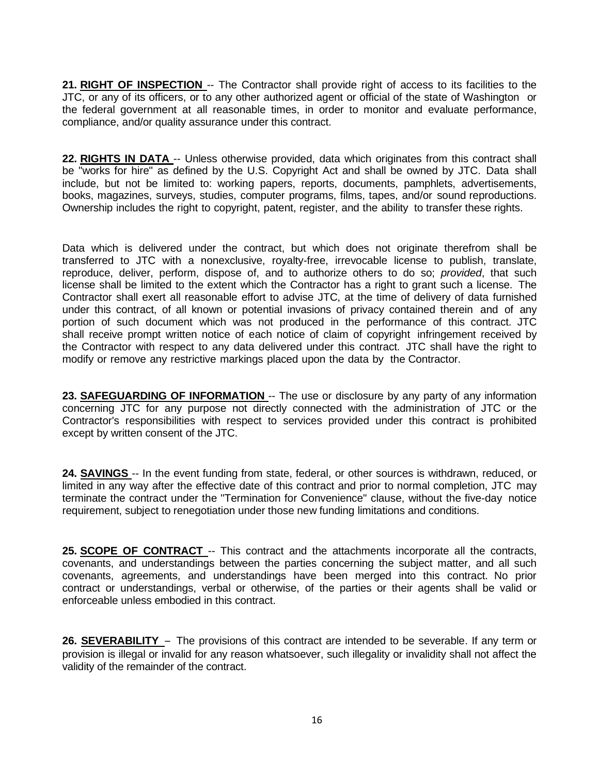**21. RIGHT OF INSPECTION** -- The Contractor shall provide right of access to its facilities to the JTC, or any of its officers, or to any other authorized agent or official of the state of Washington or the federal government at all reasonable times, in order to monitor and evaluate performance, compliance, and/or quality assurance under this contract.

**22. RIGHTS IN DATA** -- Unless otherwise provided, data which originates from this contract shall be "works for hire" as defined by the U.S. Copyright Act and shall be owned by JTC. Data shall include, but not be limited to: working papers, reports, documents, pamphlets, advertisements, books, magazines, surveys, studies, computer programs, films, tapes, and/or sound reproductions. Ownership includes the right to copyright, patent, register, and the ability to transfer these rights.

Data which is delivered under the contract, but which does not originate therefrom shall be transferred to JTC with a nonexclusive, royalty-free, irrevocable license to publish, translate, reproduce, deliver, perform, dispose of, and to authorize others to do so; *provided*, that such license shall be limited to the extent which the Contractor has a right to grant such a license. The Contractor shall exert all reasonable effort to advise JTC, at the time of delivery of data furnished under this contract, of all known or potential invasions of privacy contained therein and of any portion of such document which was not produced in the performance of this contract. JTC shall receive prompt written notice of each notice of claim of copyright infringement received by the Contractor with respect to any data delivered under this contract. JTC shall have the right to modify or remove any restrictive markings placed upon the data by the Contractor.

**23. SAFEGUARDING OF INFORMATION** -- The use or disclosure by any party of any information concerning JTC for any purpose not directly connected with the administration of JTC or the Contractor's responsibilities with respect to services provided under this contract is prohibited except by written consent of the JTC.

**24. SAVINGS** -- In the event funding from state, federal, or other sources is withdrawn, reduced, or limited in any way after the effective date of this contract and prior to normal completion, JTC may terminate the contract under the "Termination for Convenience" clause, without the five-day notice requirement, subject to renegotiation under those new funding limitations and conditions.

**25. SCOPE OF CONTRACT** -- This contract and the attachments incorporate all the contracts, covenants, and understandings between the parties concerning the subject matter, and all such covenants, agreements, and understandings have been merged into this contract. No prior contract or understandings, verbal or otherwise, of the parties or their agents shall be valid or enforceable unless embodied in this contract.

**26. SEVERABILITY** – The provisions of this contract are intended to be severable. If any term or provision is illegal or invalid for any reason whatsoever, such illegality or invalidity shall not affect the validity of the remainder of the contract.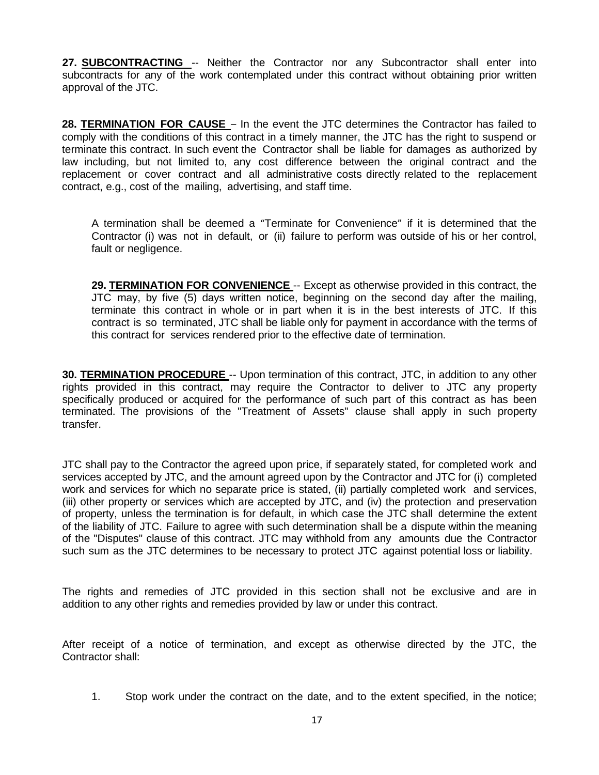**27. SUBCONTRACTING** -- Neither the Contractor nor any Subcontractor shall enter into subcontracts for any of the work contemplated under this contract without obtaining prior written approval of the JTC.

**28. TERMINATION FOR CAUSE** – In the event the JTC determines the Contractor has failed to comply with the conditions of this contract in a timely manner, the JTC has the right to suspend or terminate this contract. In such event the Contractor shall be liable for damages as authorized by law including, but not limited to, any cost difference between the original contract and the replacement or cover contract and all administrative costs directly related to the replacement contract, e.g., cost of the mailing, advertising, and staff time.

A termination shall be deemed a "Terminate for Convenience" if it is determined that the Contractor (i) was not in default, or (ii) failure to perform was outside of his or her control, fault or negligence.

**29. TERMINATION FOR CONVENIENCE** -- Except as otherwise provided in this contract, the JTC may, by five (5) days written notice, beginning on the second day after the mailing, terminate this contract in whole or in part when it is in the best interests of JTC. If this contract is so terminated, JTC shall be liable only for payment in accordance with the terms of this contract for services rendered prior to the effective date of termination.

**30. TERMINATION PROCEDURE** -- Upon termination of this contract, JTC, in addition to any other rights provided in this contract, may require the Contractor to deliver to JTC any property specifically produced or acquired for the performance of such part of this contract as has been terminated. The provisions of the "Treatment of Assets" clause shall apply in such property transfer.

JTC shall pay to the Contractor the agreed upon price, if separately stated, for completed work and services accepted by JTC, and the amount agreed upon by the Contractor and JTC for (i) completed work and services for which no separate price is stated, (ii) partially completed work and services, (iii) other property or services which are accepted by JTC, and (iv) the protection and preservation of property, unless the termination is for default, in which case the JTC shall determine the extent of the liability of JTC. Failure to agree with such determination shall be a dispute within the meaning of the "Disputes" clause of this contract. JTC may withhold from any amounts due the Contractor such sum as the JTC determines to be necessary to protect JTC against potential loss or liability.

The rights and remedies of JTC provided in this section shall not be exclusive and are in addition to any other rights and remedies provided by law or under this contract.

After receipt of a notice of termination, and except as otherwise directed by the JTC, the Contractor shall:

1. Stop work under the contract on the date, and to the extent specified, in the notice;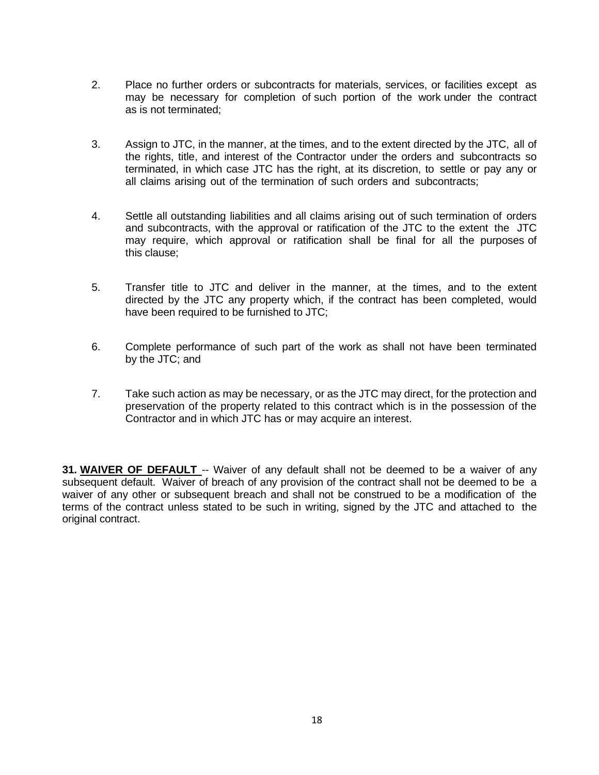- 2. Place no further orders or subcontracts for materials, services, or facilities except as may be necessary for completion of such portion of the work under the contract as is not terminated;
- 3. Assign to JTC, in the manner, at the times, and to the extent directed by the JTC, all of the rights, title, and interest of the Contractor under the orders and subcontracts so terminated, in which case JTC has the right, at its discretion, to settle or pay any or all claims arising out of the termination of such orders and subcontracts;
- 4. Settle all outstanding liabilities and all claims arising out of such termination of orders and subcontracts, with the approval or ratification of the JTC to the extent the JTC may require, which approval or ratification shall be final for all the purposes of this clause;
- 5. Transfer title to JTC and deliver in the manner, at the times, and to the extent directed by the JTC any property which, if the contract has been completed, would have been required to be furnished to JTC;
- 6. Complete performance of such part of the work as shall not have been terminated by the JTC; and
- 7. Take such action as may be necessary, or as the JTC may direct, for the protection and preservation of the property related to this contract which is in the possession of the Contractor and in which JTC has or may acquire an interest.

**31. WAIVER OF DEFAULT** -- Waiver of any default shall not be deemed to be a waiver of any subsequent default. Waiver of breach of any provision of the contract shall not be deemed to be a waiver of any other or subsequent breach and shall not be construed to be a modification of the terms of the contract unless stated to be such in writing, signed by the JTC and attached to the original contract.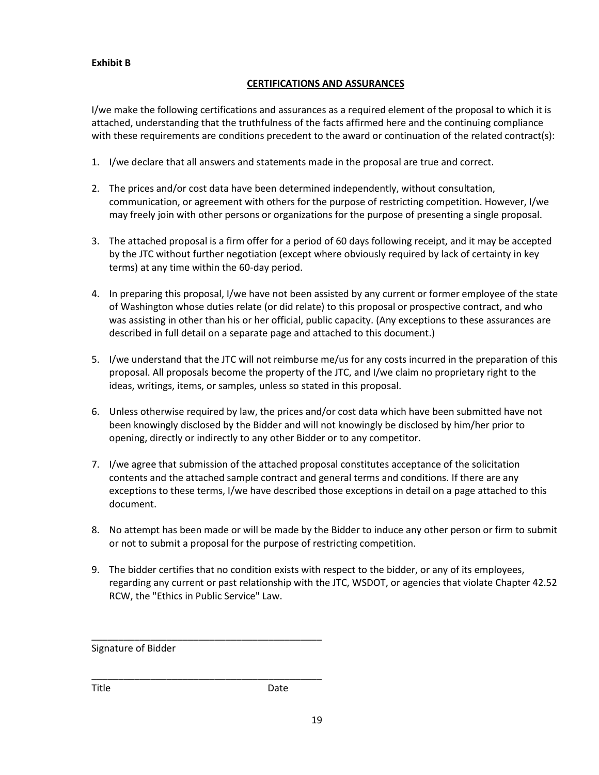#### **Exhibit B**

#### **CERTIFICATIONS AND ASSURANCES**

I/we make the following certifications and assurances as a required element of the proposal to which it is attached, understanding that the truthfulness of the facts affirmed here and the continuing compliance with these requirements are conditions precedent to the award or continuation of the related contract(s):

- 1. I/we declare that all answers and statements made in the proposal are true and correct.
- 2. The prices and/or cost data have been determined independently, without consultation, communication, or agreement with others for the purpose of restricting competition. However, I/we may freely join with other persons or organizations for the purpose of presenting a single proposal.
- 3. The attached proposal is a firm offer for a period of 60 days following receipt, and it may be accepted by the JTC without further negotiation (except where obviously required by lack of certainty in key terms) at any time within the 60-day period.
- 4. In preparing this proposal, I/we have not been assisted by any current or former employee of the state of Washington whose duties relate (or did relate) to this proposal or prospective contract, and who was assisting in other than his or her official, public capacity. (Any exceptions to these assurances are described in full detail on a separate page and attached to this document.)
- 5. I/we understand that the JTC will not reimburse me/us for any costs incurred in the preparation of this proposal. All proposals become the property of the JTC, and I/we claim no proprietary right to the ideas, writings, items, or samples, unless so stated in this proposal.
- 6. Unless otherwise required by law, the prices and/or cost data which have been submitted have not been knowingly disclosed by the Bidder and will not knowingly be disclosed by him/her prior to opening, directly or indirectly to any other Bidder or to any competitor.
- 7. I/we agree that submission of the attached proposal constitutes acceptance of the solicitation contents and the attached sample contract and general terms and conditions. If there are any exceptions to these terms, I/we have described those exceptions in detail on a page attached to this document.
- 8. No attempt has been made or will be made by the Bidder to induce any other person or firm to submit or not to submit a proposal for the purpose of restricting competition.
- 9. The bidder certifies that no condition exists with respect to the bidder, or any of its employees, regarding any current or past relationship with the JTC, WSDOT, or agencies that violate Chapter 42.52 RCW, the "Ethics in Public Service" Law.

Signature of Bidder

\_\_\_\_\_\_\_\_\_\_\_\_\_\_\_\_\_\_\_\_\_\_\_\_\_\_\_\_\_\_\_\_\_\_\_\_\_\_\_\_\_\_\_

\_\_\_\_\_\_\_\_\_\_\_\_\_\_\_\_\_\_\_\_\_\_\_\_\_\_\_\_\_\_\_\_\_\_\_\_\_\_\_\_\_\_\_

Title **Date**